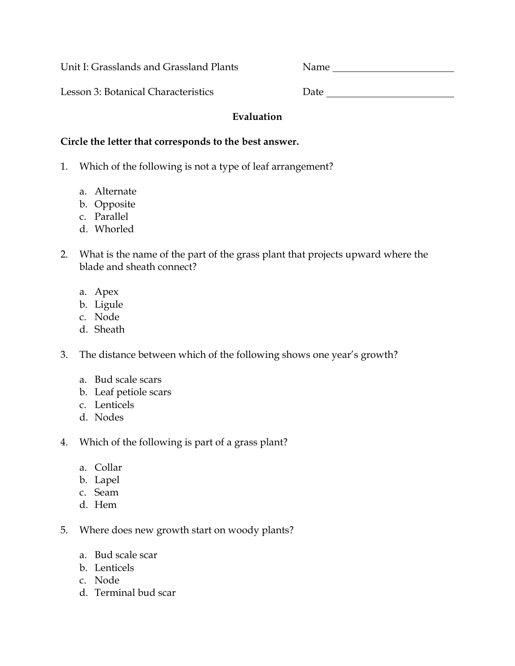Unit I: Grasslands and Grassland Plants Name

Lesson 3: Botanical Characteristics Date

## **Evaluation**

## **Circle the letter that corresponds to the best answer.**

- 1. Which of the following is not a type of leaf arrangement?
	- a. Alternate
	- b. Opposite
	- c. Parallel
	- d. Whorled
- 2. What is the name of the part of the grass plant that projects upward where the blade and sheath connect?
	- a. Apex
	- b. Ligule
	- c. Node
	- d. Sheath
- 3. The distance between which of the following shows one year's growth?
	- a. Bud scale scars
	- b. Leaf petiole scars
	- c. Lenticels
	- d. Nodes
- 4. Which of the following is part of a grass plant?
	- a. Collar
	- b. Lapel
	- c. Seam
	- d. Hem
- 5. Where does new growth start on woody plants?
	- a. Bud scale scar
	- b. Lenticels
	- c. Node
	- d. Terminal bud scar